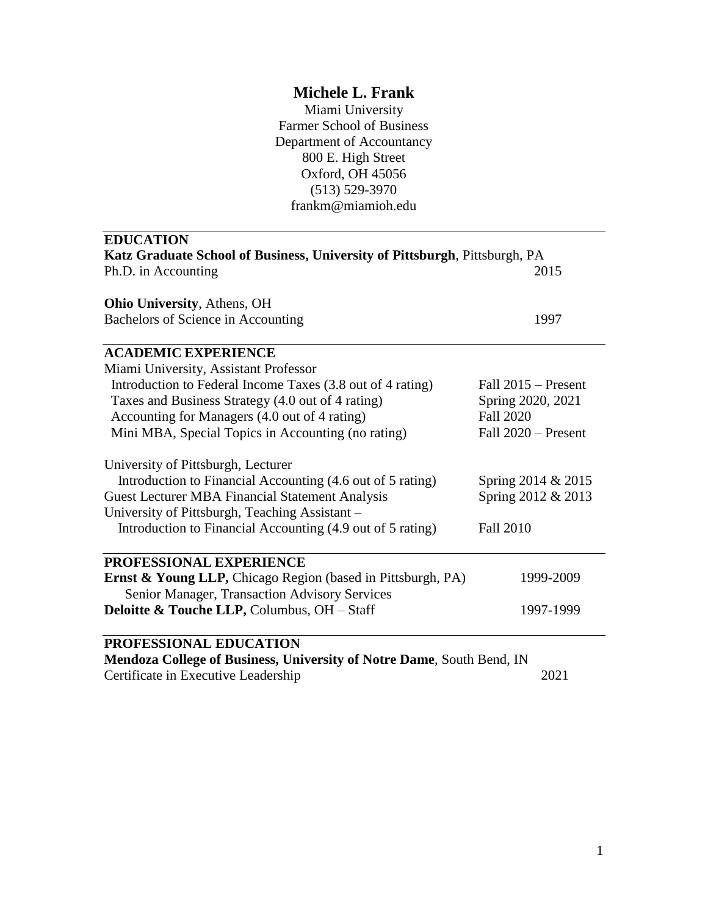# **Michele L. Frank**

Miami University Farmer School of Business Department of Accountancy 800 E. High Street Oxford, OH 45056 (513) 529-3970 frankm@miamioh.edu

| <b>EDUCATION</b><br>Katz Graduate School of Business, University of Pittsburgh, Pittsburgh, PA |                       |
|------------------------------------------------------------------------------------------------|-----------------------|
|                                                                                                |                       |
| <b>Ohio University, Athens, OH</b>                                                             |                       |
| Bachelors of Science in Accounting                                                             | 1997                  |
| <b>ACADEMIC EXPERIENCE</b>                                                                     |                       |
| Miami University, Assistant Professor                                                          |                       |
| Introduction to Federal Income Taxes (3.8 out of 4 rating)                                     | Fall $2015$ – Present |
| Taxes and Business Strategy (4.0 out of 4 rating)                                              | Spring 2020, 2021     |
| Accounting for Managers (4.0 out of 4 rating)                                                  | <b>Fall 2020</b>      |
| Mini MBA, Special Topics in Accounting (no rating)                                             | Fall 2020 - Present   |
| University of Pittsburgh, Lecturer                                                             |                       |
| Introduction to Financial Accounting (4.6 out of 5 rating)                                     | Spring 2014 & 2015    |
| <b>Guest Lecturer MBA Financial Statement Analysis</b>                                         | Spring 2012 & 2013    |
| University of Pittsburgh, Teaching Assistant -                                                 |                       |
| Introduction to Financial Accounting (4.9 out of 5 rating)                                     | <b>Fall 2010</b>      |
| PROFESSIONAL EXPERIENCE                                                                        |                       |
| Ernst & Young LLP, Chicago Region (based in Pittsburgh, PA)                                    | 1999-2009             |
| Senior Manager, Transaction Advisory Services                                                  |                       |
| <b>Deloitte &amp; Touche LLP, Columbus, OH - Staff</b>                                         | 1997-1999             |
| PROFESSIONAL EDUCATION                                                                         |                       |
| Mendoza College of Business, University of Notre Dame, South Bend, IN                          |                       |

Certificate in Executive Leadership 2021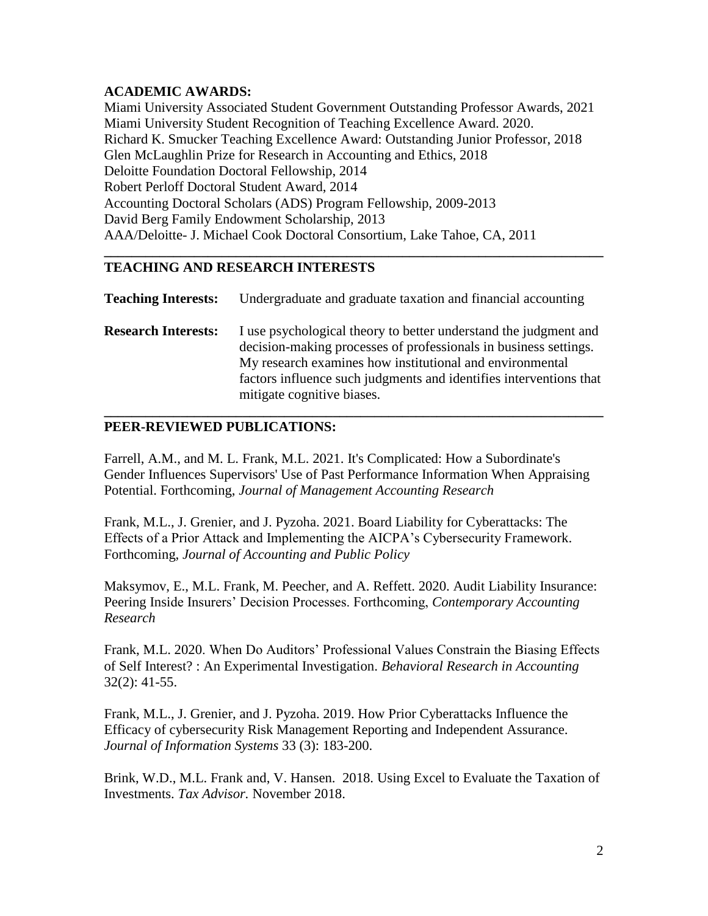## **ACADEMIC AWARDS:**

Miami University Associated Student Government Outstanding Professor Awards, 2021 Miami University Student Recognition of Teaching Excellence Award. 2020. Richard K. Smucker Teaching Excellence Award: Outstanding Junior Professor, 2018 Glen McLaughlin Prize for Research in Accounting and Ethics, 2018 Deloitte Foundation Doctoral Fellowship, 2014 Robert Perloff Doctoral Student Award, 2014 Accounting Doctoral Scholars (ADS) Program Fellowship, 2009-2013 David Berg Family Endowment Scholarship, 2013 AAA/Deloitte- J. Michael Cook Doctoral Consortium, Lake Tahoe, CA, 2011

# **TEACHING AND RESEARCH INTERESTS**

**Teaching Interests:** Undergraduate and graduate taxation and financial accounting

**\_\_\_\_\_\_\_\_\_\_\_\_\_\_\_\_\_\_\_\_\_\_\_\_\_\_\_\_\_\_\_\_\_\_\_\_\_\_\_\_\_\_\_\_\_\_\_\_\_\_\_\_\_\_\_\_\_\_\_\_\_\_\_\_\_\_\_\_\_\_\_\_**

**Research Interests:** I use psychological theory to better understand the judgment and decision-making processes of professionals in business settings. My research examines how institutional and environmental factors influence such judgments and identifies interventions that mitigate cognitive biases.

**\_\_\_\_\_\_\_\_\_\_\_\_\_\_\_\_\_\_\_\_\_\_\_\_\_\_\_\_\_\_\_\_\_\_\_\_\_\_\_\_\_\_\_\_\_\_\_\_\_\_\_\_\_\_\_\_\_\_\_\_\_\_\_\_\_\_\_\_\_\_\_\_**

# **PEER-REVIEWED PUBLICATIONS:**

Farrell, A.M., and M. L. Frank, M.L. 2021. It's Complicated: How a Subordinate's Gender Influences Supervisors' Use of Past Performance Information When Appraising Potential. Forthcoming, *Journal of Management Accounting Research*

Frank, M.L., J. Grenier, and J. Pyzoha. 2021. Board Liability for Cyberattacks: The Effects of a Prior Attack and Implementing the AICPA's Cybersecurity Framework. Forthcoming, *Journal of Accounting and Public Policy*

Maksymov, E., M.L. Frank, M. Peecher, and A. Reffett. 2020. Audit Liability Insurance: Peering Inside Insurers' Decision Processes. Forthcoming, *Contemporary Accounting Research*

Frank, M.L. 2020. When Do Auditors' Professional Values Constrain the Biasing Effects of Self Interest? : An Experimental Investigation. *Behavioral Research in Accounting*  32(2): 41-55.

Frank, M.L., J. Grenier, and J. Pyzoha. 2019. How Prior Cyberattacks Influence the Efficacy of cybersecurity Risk Management Reporting and Independent Assurance. *Journal of Information Systems* 33 (3): 183-200.

Brink, W.D., M.L. Frank and, V. Hansen. 2018. Using Excel to Evaluate the Taxation of Investments. *Tax Advisor.* November 2018.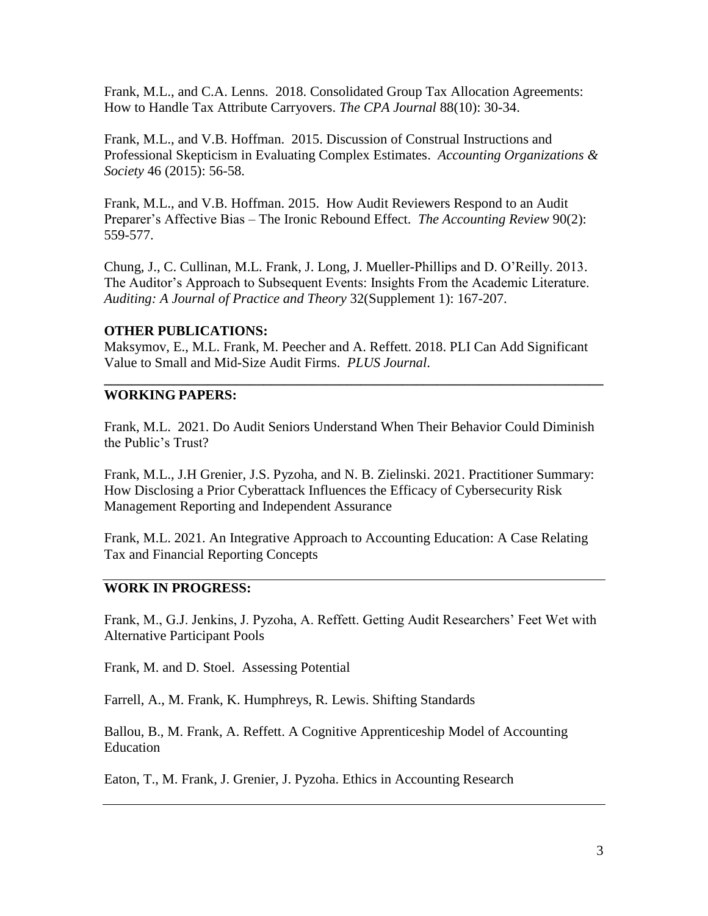Frank, M.L., and C.A. Lenns. 2018. Consolidated Group Tax Allocation Agreements: How to Handle Tax Attribute Carryovers. *The CPA Journal* 88(10): 30-34.

Frank, M.L., and V.B. Hoffman. 2015. Discussion of Construal Instructions and Professional Skepticism in Evaluating Complex Estimates. *Accounting Organizations & Society* 46 (2015): 56-58.

Frank, M.L., and V.B. Hoffman. 2015. How Audit Reviewers Respond to an Audit Preparer's Affective Bias – The Ironic Rebound Effect. *The Accounting Review* 90(2): 559-577.

Chung, J., C. Cullinan, M.L. Frank, J. Long, J. Mueller-Phillips and D. O'Reilly. 2013. The Auditor's Approach to Subsequent Events: Insights From the Academic Literature. *Auditing: A Journal of Practice and Theory* 32(Supplement 1): 167-207.

## **OTHER PUBLICATIONS:**

Maksymov, E., M.L. Frank, M. Peecher and A. Reffett. 2018. PLI Can Add Significant Value to Small and Mid-Size Audit Firms. *PLUS Journal*.

**\_\_\_\_\_\_\_\_\_\_\_\_\_\_\_\_\_\_\_\_\_\_\_\_\_\_\_\_\_\_\_\_\_\_\_\_\_\_\_\_\_\_\_\_\_\_\_\_\_\_\_\_\_\_\_\_\_\_\_\_\_\_\_\_\_\_\_\_\_\_\_\_**

## **WORKING PAPERS:**

Frank, M.L. 2021. Do Audit Seniors Understand When Their Behavior Could Diminish the Public's Trust?

Frank, M.L., J.H Grenier, J.S. Pyzoha, and N. B. Zielinski. 2021. Practitioner Summary: How Disclosing a Prior Cyberattack Influences the Efficacy of Cybersecurity Risk Management Reporting and Independent Assurance

Frank, M.L. 2021. An Integrative Approach to Accounting Education: A Case Relating Tax and Financial Reporting Concepts

#### **WORK IN PROGRESS:**

Frank, M., G.J. Jenkins, J. Pyzoha, A. Reffett. Getting Audit Researchers' Feet Wet with Alternative Participant Pools

Frank, M. and D. Stoel. Assessing Potential

Farrell, A., M. Frank, K. Humphreys, R. Lewis. Shifting Standards

Ballou, B., M. Frank, A. Reffett. A Cognitive Apprenticeship Model of Accounting Education

Eaton, T., M. Frank, J. Grenier, J. Pyzoha. Ethics in Accounting Research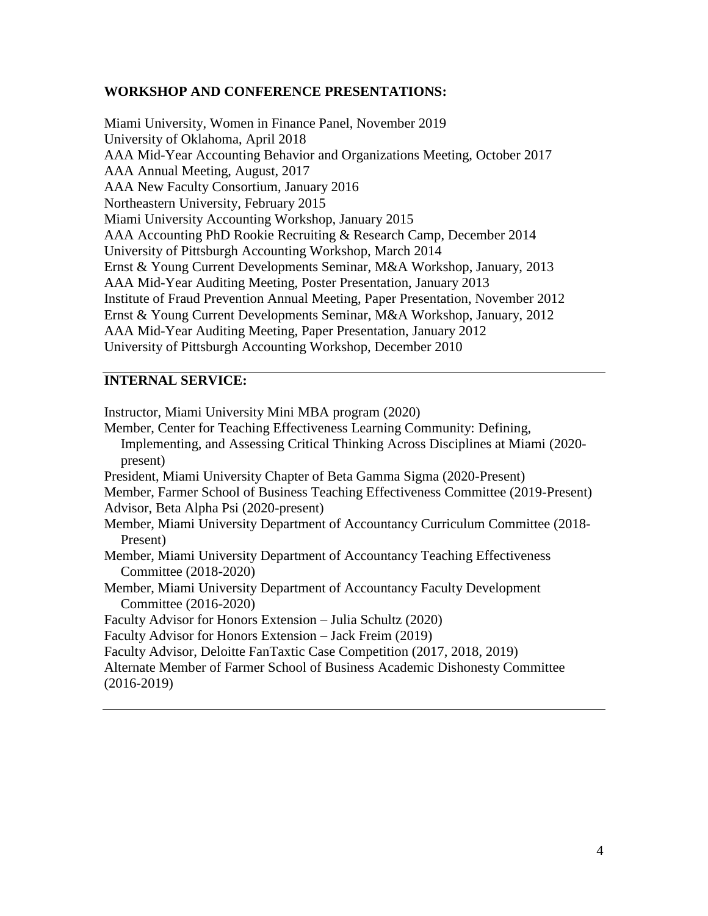#### **WORKSHOP AND CONFERENCE PRESENTATIONS:**

Miami University, Women in Finance Panel, November 2019 University of Oklahoma, April 2018 AAA Mid-Year Accounting Behavior and Organizations Meeting, October 2017 AAA Annual Meeting, August, 2017 AAA New Faculty Consortium, January 2016 Northeastern University, February 2015 Miami University Accounting Workshop, January 2015 AAA Accounting PhD Rookie Recruiting & Research Camp, December 2014 University of Pittsburgh Accounting Workshop, March 2014 Ernst & Young Current Developments Seminar, M&A Workshop, January, 2013 AAA Mid-Year Auditing Meeting, Poster Presentation, January 2013 Institute of Fraud Prevention Annual Meeting, Paper Presentation, November 2012 Ernst & Young Current Developments Seminar, M&A Workshop, January, 2012 AAA Mid-Year Auditing Meeting, Paper Presentation, January 2012 University of Pittsburgh Accounting Workshop, December 2010

#### **INTERNAL SERVICE:**

Instructor, Miami University Mini MBA program (2020) Member, Center for Teaching Effectiveness Learning Community: Defining, Implementing, and Assessing Critical Thinking Across Disciplines at Miami (2020 present) President, Miami University Chapter of Beta Gamma Sigma (2020-Present) Member, Farmer School of Business Teaching Effectiveness Committee (2019-Present) Advisor, Beta Alpha Psi (2020-present) Member, Miami University Department of Accountancy Curriculum Committee (2018- Present) Member, Miami University Department of Accountancy Teaching Effectiveness Committee (2018-2020) Member, Miami University Department of Accountancy Faculty Development Committee (2016-2020) Faculty Advisor for Honors Extension – Julia Schultz (2020) Faculty Advisor for Honors Extension – Jack Freim (2019) Faculty Advisor, Deloitte FanTaxtic Case Competition (2017, 2018, 2019) Alternate Member of Farmer School of Business Academic Dishonesty Committee (2016-2019)